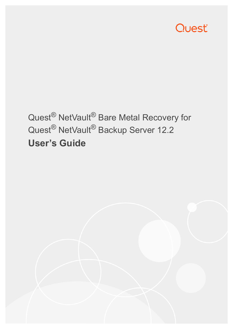

# Quest® NetVault® Bare Metal Recovery for Quest<sup>®</sup> NetVault<sup>®</sup> Backup Server 12.2 **User's Guide**

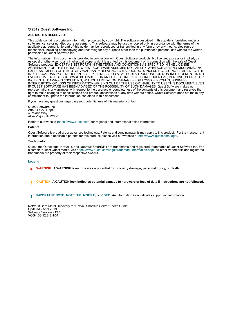#### **© 2019 Quest Software Inc.**

#### **ALL RIGHTS RESERVED.**

This guide contains proprietary information protected by copyright. The software described in this guide is furnished under a software license or nondisclosure agreement. This software may be used or copied only in accordance with the terms of the applicable agreement. No part of this guide may be reproduced or transmitted in any form or by any means, electronic or mechanical, including photocopying and recording for any purpose other than the purchaser's personal use without the written permission of Quest Software Inc.

The information in this document is provided in connection with Quest Software products. No license, express or implied, by estoppel or otherwise, to any intellectual property right is granted by this document or in connection with the sale of Quest<br>Software products. EXCEPT AS SET FORTH IN THE TERMS AND CONDITIONS AS SPECIFIED IN THE LICENSE<br>A EXPRESS, IMPLIED OR STATUTORY WARRANTY RELATING TO ITS PRODUCTS INCLUDING, BUT NOT LIMITED TO, THE IMPLIED WARRANTY OF MERCHANTABILITY, FITNESS FOR A PARTICULAR PURPOSE, OR NON-INFRINGEMENT. IN NO EVENT SHALL QUEST SOFTWARE BE LIABLE FOR ANY DIRECT, INDIRECT, CONSEQUENTIAL, PUNITIVE, SPECIAL OR INCIDENTAL DAMAGES (INCLUDING, WITHOUT LIMITATION, DAMAGES FOR LOSS OF PROFITS, BUSINESS<br>INTERRUPTION OR LOSS OF INFORMATION) ARISING OUT OF THE USE OR INABILITY TO USE THIS DOCUMENT, EVEN IF QUEST SOFTWARE HAS BEEN ADVISED OF THE POSSIBILITY OF SUCH DAMAGES. Quest Software makes no representations or warranties with respect to the accuracy or completeness of the contents of this document and reserves the right to make changes to specifications and product descriptions at any time without notice. Quest Software does not make any commitment to update the information contained in this document.

If you have any questions regarding your potential use of this material, contact:

Quest Software Inc. Attn: LEGAL Dept. 4 Polaris Way Aliso Viejo, CA 92656

Refer to our website [\(https://www.quest.com](https://www.quest.com)) for regional and international office information.

#### **Patents**

Quest Software is proud of our advanced technology. Patents and pending patents may apply to this product. For the most current information about applicable patents for this product, please visit our website at [https://www.quest.com/legal.](https://www.quest.com/legal)

#### **Trademarks**

Quest, the Quest logo, NetVault, and NetVault SmartDisk are trademarks and registered trademarks of Quest Software Inc. For a complete list of Quest marks, visit<https://www.quest.com/legal/trademark-information.aspx>. All other trademarks and registered trademarks are property of their respective owners.

#### **Legend**

- **WARNING: A WARNING icon indicates a potential for property damage, personal injury, or death.**
- **CAUTION: A CAUTION icon indicates potential damage to hardware or loss of data if instructions are not followed.** Ţ
- **IMPORTANT NOTE**, **NOTE**, **TIP**, **MOBILE**, or **VIDEO:** An information icon indicates supporting information.f.

NetVault Bare Metal Recovery for NetVault Backup Server User's Guide Updated - April 2019 Software Version - 12.2 VOG-103-12.2-EN-01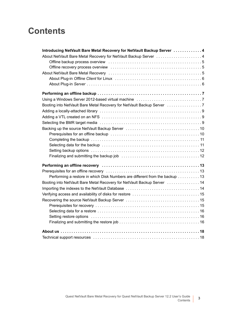### **Contents**

| Introducing NetVault Bare Metal Recovery for NetVault Backup Server  4      |  |
|-----------------------------------------------------------------------------|--|
| About NetVault Bare Metal Recovery for NetVault Backup Server  4            |  |
|                                                                             |  |
|                                                                             |  |
|                                                                             |  |
|                                                                             |  |
|                                                                             |  |
|                                                                             |  |
|                                                                             |  |
|                                                                             |  |
|                                                                             |  |
|                                                                             |  |
|                                                                             |  |
|                                                                             |  |
|                                                                             |  |
|                                                                             |  |
|                                                                             |  |
|                                                                             |  |
|                                                                             |  |
|                                                                             |  |
|                                                                             |  |
| Performing a restore in which Disk Numbers are different from the backup 13 |  |
| Booting into NetVault Bare Metal Recovery for NetVault Backup Server 14     |  |
|                                                                             |  |
|                                                                             |  |
|                                                                             |  |
|                                                                             |  |
|                                                                             |  |
|                                                                             |  |
|                                                                             |  |
|                                                                             |  |
|                                                                             |  |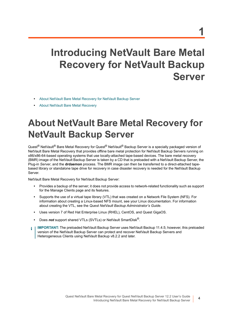# <span id="page-3-0"></span>**Introducing NetVault Bare Metal Recovery for NetVault Backup Server**

- **•** [About NetVault Bare Metal Recovery for NetVault Backup Server](#page-3-1)
- **•** [About NetVault Bare Metal Recovery](#page-4-2)

# <span id="page-3-1"></span>**About NetVault Bare Metal Recovery for NetVault Backup Server**

Quest<sup>®</sup> NetVault<sup>®</sup> Bare Metal Recovery for Quest<sup>®</sup> NetVault<sup>®</sup> Backup Server is a specially packaged version of NetVault Bare Metal Recovery that provides offline bare metal protection for NetVault Backup Servers running on x86/x86-64-based operating systems that use locally-attached tape-based devices. The bare metal recovery (BMR) image of the NetVault Backup Server is taken by a CD that is preloaded with a NetVault Backup Server, the Plug-in *Server*, and the **drdaemon** process. The BMR image can then be transferred to a direct-attached tapebased library or standalone tape drive for recovery in case disaster recovery is needed for the NetVault Backup Server.

NetVault Bare Metal Recovery for NetVault Backup Server:

- **•** Provides a backup of the server; it does not provide access to network-related functionality such as support for the Manage Clients page and its features.
- **•** Supports the use of a virtual tape library (VTL) that was created on a Network File System (NFS). For information about creating a Linux-based NFS mount, see your Linux documentation. For information about creating the VTL, see the *Quest NetVault Backup Administrator's Guide*.
- **•** Uses version 7 of Red Hat Enterprise Linux (RHEL), CentOS, and Quest GigaOS.
- **•** Does *not* support shared VTLs (SVTLs) or NetVault SmartDisk®.
- **IMPORTANT:** The preloaded NetVault Backup Server uses NetVault Backup 11.4.5; however, this preloaded ÷ version of the NetVault Backup Server can protect and recover NetVault Backup Servers and Heterogeneous Clients using NetVault Backup v8.2.2 and later.

**4**

**1**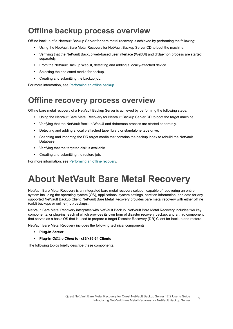### <span id="page-4-0"></span>**Offline backup process overview**

Offline backup of a NetVault Backup Server for bare metal recovery is achieved by performing the following:

- **•** Using the NetVault Bare Metal Recovery for NetVault Backup Server CD to boot the machine.
- **•** Verifying that the NetVault Backup web-based user interface (WebUI) and drdaemon process are started separately.
- **•** From the NetVault Backup WebUI, detecting and adding a locally-attached device.
- **•** Selecting the dedicated media for backup.
- **•** Creating and submitting the backup job.

For more information, see [Performing an offline backup.](#page-6-3)

### <span id="page-4-1"></span>**Offline recovery process overview**

Offline bare metal recovery of a NetVault Backup Server is achieved by performing the following steps:

- **•** Using the NetVault Bare Metal Recovery for NetVault Backup Server CD to boot the target machine.
- **•** Verifying that the NetVault Backup WebUI and drdaemon process are started separately.
- **•** Detecting and adding a locally-attached tape library or standalone tape drive.
- **•** Scanning and importing the DR target media that contains the backup index to rebuild the NetVault Database.
- **•** Verifying that the targeted disk is available.
- **•** Creating and submitting the restore job.

For more information, see [Performing an offline recovery](#page-12-3).

# <span id="page-4-2"></span>**About NetVault Bare Metal Recovery**

NetVault Bare Metal Recovery is an integrated bare metal recovery solution capable of recovering an entire system including the operating system (OS), applications, system settings, partition information, and data for any supported NetVault Backup Client. NetVault Bare Metal Recovery provides bare metal recovery with either offline (cold) backups or online (hot) backups.

NetVault Bare Metal Recovery integrates with NetVault Backup. NetVault Bare Metal Recovery includes two key components, or plug-ins, each of which provides its own form of disaster recovery backup, and a third component that serves as a basic OS that is used to prepare a target Disaster Recovery (DR) Client for backup and restore.

NetVault Bare Metal Recovery includes the following technical components:

- **Plug-in** *Server*
- **Plug-in** *Offline Client* **for x86/x86-64 Clients**

The following topics briefly describe these components.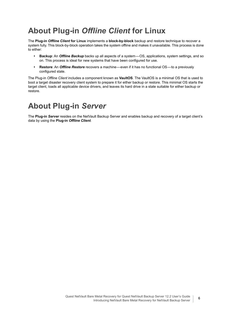### <span id="page-5-0"></span>**About Plug-in** *Offline Client* **for Linux**

The **Plug-in** *Offline Client* **for Linux** implements a **block-by-block** backup and restore technique to recover a system fully. This block-by-block operation takes the system offline and makes it unavailable. This process is done to either:

- **Backup**: An *Offline Backup* backs up all aspects of a system OS, applications, system settings, and so on. This process is ideal for new systems that have been configured for use.
- **Restore**: An *Offline Restore* recovers a machine even if it has no functional OS to a previously configured state.

The Plug-in *Offline Client* includes a component known as **VaultOS**. The VaultOS is a minimal OS that is used to boot a target disaster recovery client system to prepare it for either backup or restore. This minimal OS starts the target client, loads all applicable device drivers, and leaves its hard drive in a state suitable for either backup or restore.

### <span id="page-5-1"></span>**About Plug-in** *Server*

The **Plug-in** *Server* resides on the NetVault Backup Server and enables backup and recovery of a target client's data by using the **Plug-in** *Offline Client*.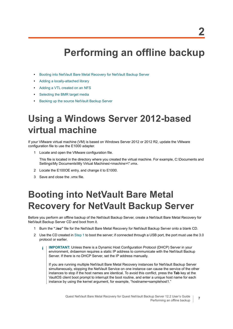# <span id="page-6-3"></span>**Performing an offline backup**

- <span id="page-6-0"></span>**•** [Booting into NetVault Bare Metal Recovery for NetVault Backup Server](#page-6-2)
- **•** [Adding a locally-attached library](#page-8-0)
- **•** [Adding a VTL created on an NFS](#page-8-1)
- **•** [Selecting the BMR target media](#page-8-2)
- **•** [Backing up the source NetVault Backup Server](#page-9-0)

# <span id="page-6-5"></span><span id="page-6-1"></span>**Using a Windows Server 2012-based virtual machine**

If your VMware virtual machine (VM) is based on Windows Server 2012 or 2012 R2, update the VMware configuration file to use the E1000 adapter.

1 Locate and open the VMware configuration file.

This file is located in the directory where you created the virtual machine. For example, C:\Documents and Settings\My Documents\My Virtual Machines\*<machine>*\\*.vmx.

- 2 Locate the E100OE entry, and change it to E1000.
- 3 Save and close the .vmx file.

# <span id="page-6-6"></span><span id="page-6-2"></span>**Booting into NetVault Bare Metal Recovery for NetVault Backup Server**

Before you perform an offline backup of the NetVault Backup Server, create a NetVault Bare Metal Recovery for NetVault Backup Server CD and boot from it.

- <span id="page-6-4"></span>1 Burn the **".iso"** file for the NetVault Bare Metal Recovery for NetVault Backup Server onto a blank CD.
- 2 Use the CD created in [Step 1](#page-6-4) to boot the server; if connected through a USB port, the port must use the 3.0 protocol or earlier.
	- **IMPORTANT:** Unless there is a Dynamic Host Configuration Protocol (DHCP) Server in your f. environment, drdaemon requires a static IP address to communicate with the NetVault Backup Server. If there is no DHCP Server, set the IP address manually.

If you are running multiple NetVault Bare Metal Recovery instances for NetVault Backup Server simultaneously, stopping the NetVault Service on one instance can cause the service of the other instances to stop if the host names are identical. To avoid this conflict, press the **Tab** key at the VaultOS client boot prompt to interrupt the boot routine, and enter a unique host name for each instance by using the kernel argument, for example, "hostname=samplehost1."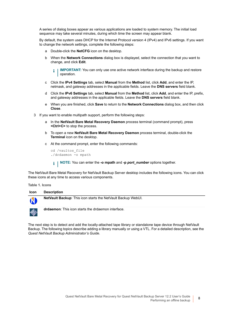A series of dialog boxes appear as various applications are loaded to system memory. The initial load sequence may take several minutes, during which time the screen may appear blank.

By default, the system uses DHCP for the Internet Protocol version 4 (IPv4) and IPv6 settings. If you want to change the network settings, complete the following steps:

- a Double-click the **NetCFG** icon on the desktop.
- b When the **Network Connections** dialog box is displayed, select the connection that you want to change, and click **Edit**.

**IMPORTANT:** You can only use one active network interface during the backup and restore ÷ operation.

- c Click the **IPv4 Settings** tab, select **Manual** from the **Method** list, click **Add**, and enter the IP, netmask, and gateway addresses in the applicable fields. Leave the **DNS servers** field blank.
- d Click the **IPv6 Settings** tab, select **Manual** from the **Method** list, click **Add**, and enter the IP, prefix, and gateway addresses in the applicable fields. Leave the **DNS servers** field blank.
- e When you are finished, click **Save** to return to the **Network Connections** dialog box, and then click **Close**.
- 3 If you want to enable multipath support, perform the following steps:
	- a In the **NetVault Bare Metal Recovery Daemon** process terminal (command prompt), press **<Ctrl+C>** to stop the process.
	- b To open a new **NetVault Bare Metal Recovery Daemon** process terminal, double-click the **Terminal** icon on the desktop.
	- c At the command prompt, enter the following commands:

cd /vaultos\_file ./drdaemon -o mpath

**NOTE:** You can enter the **-o mpath** and **-p** *port\_number* options together.

The NetVault Bare Metal Recovery for NetVault Backup Server desktop includes the following icons. You can click these icons at any time to access various components.

**Table 1. Icons**

| <b>Icon</b> | <b>Description</b>                                                  |
|-------------|---------------------------------------------------------------------|
| N           | <b>NetVault Backup:</b> This icon starts the NetVault Backup WebUI. |
| $\clubsuit$ | <b>drdaemon:</b> This icon starts the drdaemon interface.           |

The next step is to detect and add the locally-attached tape library or standalone tape device through NetVault Backup. The following topics describe adding a library manually or using a VTL. For a detailed description, see the *Quest NetVault Backup Administrator's Guide*.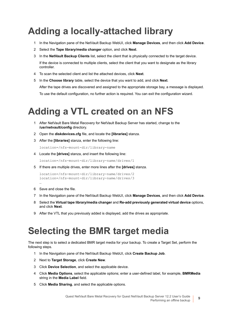# <span id="page-8-0"></span>**Adding a locally-attached library**

- 1 In the Navigation pane of the NetVault Backup WebUI, click **Manage Devices**, and then click **Add Device**.
- 2 Select the **Tape library/media changer** option, and click **Next**.
- 3 In the **NetVault Backup Clients** list, select the client that is physically connected to the target device. If the device is connected to multiple clients, select the client that you want to designate as the library controller.
- 4 To scan the selected client and list the attached devices, click **Next**.
- 5 In the **Choose library** table, select the device that you want to add, and click **Next**. After the tape drives are discovered and assigned to the appropriate storage bay, a message is displayed. To use the default configuration, no further action is required. You can exit the configuration wizard.

# <span id="page-8-1"></span>**Adding a VTL created on an NFS**

- 1 After NetVault Bare Metal Recovery for NetVault Backup Server has started, change to the **/usr/netvault/config** directory.
- 2 Open the **diskdevices.cfg** file, and locate the **[libraries]** stanza.
- 3 After the **[libraries]** stanza, enter the following line:

location=/nfs-mount-dir/library-name

4 Locate the **[drives]** stanza, and insert the following line:

location=/nfs-mount-dir/library-name/drives/1

5 If there are multiple drives, enter more lines after the **[drives]** stanza.

```
location=/nfs-mount-dir/library-name/drives/2
location=/nfs-mount-dir/library-name/drives/3
```
6 Save and close the file.

…

- 7 In the Navigation pane of the NetVault Backup WebUI, click **Manage Devices**, and then click **Add Device**.
- 8 Select the **Virtual tape library/media changer** and **Re-add previously generated virtual device** options, and click **Next**.
- 9 After the VTL that you previously added is displayed, add the drives as appropriate.

## <span id="page-8-2"></span>**Selecting the BMR target media**

The next step is to select a dedicated BMR target media for your backup. To create a Target Set, perform the following steps.

- 1 In the Navigation pane of the NetVault Backup WebUI, click **Create Backup Job**.
- 2 Next to **Target Storage**, click **Create New**.
- 3 Click **Device Selection**, and select the applicable device.
- 4 Click **Media Options**, select the applicable options; enter a user-defined label, for example, **BMRMedia**  string in the **Media Label** field.
- 5 Click **Media Sharing**, and select the applicable options.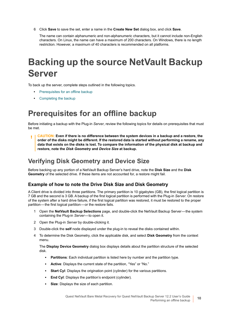6 Click **Save** to save the set, enter a name in the **Create New Set** dialog box, and click **Save**.

The name can contain alphanumeric and non-alphanumeric characters, but it cannot include non-English characters. On Linux, the name can have a maximum of 200 characters. On Windows, there is no length restriction. However, a maximum of 40 characters is recommended on all platforms.

# <span id="page-9-0"></span>**Backing up the source NetVault Backup Server**

To back up the server, complete steps outlined in the following topics.

- **•** [Prerequisites for an offline backup](#page-9-1)
- **•** [Completing the backup](#page-10-0)

### <span id="page-9-1"></span>**Prerequisites for an offline backup**

Before initiating a backup with the Plug-in *Server*, review the following topics for details on prerequisites that must be met.

**CAUTION: Even if there is no difference between the system devices in a backup and a restore, the**  п **order of the disks might be different. If the restored data is started without performing a rename, any data that exists on the disks is lost. To compare the information of the physical disk at backup and restore, note the** *Disk Geometry* **and** *Device Size* **at backup.**

### **Verifying Disk Geometry and Device Size**

Before backing up any portion of a NetVault Backup Server's hard drive, note the **Disk Size** and the **Disk Geometry** of the selected drive. If these items are not accounted for, a restore might fail.

#### **Example of how to note the Drive Disk Size and Disk Geometry**

A Client drive is divided into three partitions. The primary partition is 10 gigabytes (GB), the first logical partition is 7 GB and the second is 3 GB. A backup of the first logical partition is performed with the Plug-in *Server*. On restore of the system after a hard drive failure, if the first logical partition was restored, it must be restored to the proper partition — the first logical partition — or the restore fails.

- 1 Open the **NetVault Backup Selections** page, and double-click the NetVault Backup Server the system containing the Plug-in Server-to open it.
- 2 Open the Plug-in *Server* by double-clicking it.
- 3 Double-click the **self** node displayed under the plug-in to reveal the disks contained within.
- 4 To determine the Disk Geometry, click the applicable disk, and select **Disk Geometry** from the context menu.

The **Display Device Geometry** dialog box displays details about the partition structure of the selected disk.

- **Partitions**: Each individual partition is listed here by number and the partition type.
- **▪ Active**: Displays the current state of the partition, "Yes" or "No."
- **Start Cyl**: Displays the origination point (cylinder) for the various partitions.
- **End Cyl:** Displays the partition's endpoint (cylinder).
- **Size:** Displays the size of each partition.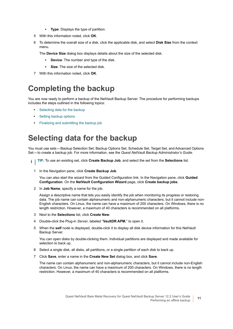- **▪ Type**: Displays the type of partition.
- 5 With this information noted, click **OK**.
- 6 To determine the overall size of a disk, click the applicable disk, and select **Disk Size** from the context menu.

The **Device Size** dialog box displays details about the size of the selected disk.

- **▪ Device**: The number and type of the disk.
- **▪ Size**: The size of the selected disk.
- 7 With this information noted, click **OK**.

### <span id="page-10-0"></span>**Completing the backup**

You are now ready to perform a backup of the NetVault Backup Server. The procedure for performing backups includes the steps outlined in the following topics:

- **•** [Selecting data for the backup](#page-10-1)
- **•** [Setting backup options](#page-11-0)
- **•** [Finalizing and submitting the backup job](#page-11-1)

### <span id="page-10-1"></span>**Selecting data for the backup**

You must use sets — Backup Selection Set, Backup Options Set, Schedule Set, Target Set, and Advanced Options Set- to create a backup job. For more information, see the *Quest NetVault Backup Administrator's Guide*.

- **TIP:** To use an existing set, click **Create Backup Job**, and select the set from the **Selections** list. $\mathbf{i}$ 
	- 1 In the Navigation pane, click **Create Backup Job**.

You can also start the wizard from the Guided Configuration link. In the Navigation pane, click **Guided Configuration**. On the **NetVault Configuration Wizard** page, click **Create backup jobs**.

2 In **Job Name**, specify a name for the job.

Assign a descriptive name that lets you easily identify the job when monitoring its progress or restoring data. The job name can contain alphanumeric and non-alphanumeric characters, but it cannot include non-English characters. On Linux, the name can have a maximum of 200 characters. On Windows, there is no length restriction. However, a maximum of 40 characters is recommended on all platforms.

- 3 Next to the **Selections** list, click **Create New**.
- 4 Double-click the Plug-in *Server*, labeled "**VaultDR APM**," to open it.
- 5 When the **self** node is displayed, double-click it to display all disk device information for this NetVault Backup Server.

You can open disks by double-clicking them. Individual partitions are displayed and made available for selection to back up.

- 6 Select a single disk, all disks, all partitions, or a single partition of each disk to back up.
- 7 Click **Save**, enter a name in the **Create New Set** dialog box, and click **Save**.

The name can contain alphanumeric and non-alphanumeric characters, but it cannot include non-English characters. On Linux, the name can have a maximum of 200 characters. On Windows, there is no length restriction. However, a maximum of 40 characters is recommended on all platforms.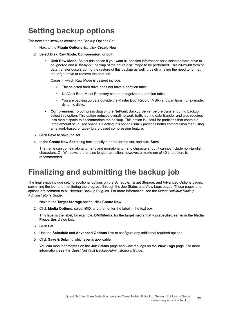### <span id="page-11-0"></span>**Setting backup options**

The next step involves creating the Backup Options Set.

- 1 Next to the **Plugin Options** list, click **Create New**.
- 2 Select **Disk Raw Mode**, **Compression**, or both.
	- **Disk Raw Mode:** Select this option if you want all partition information for a selected hard drive to be ignored and a "bit-by-bit" backup of the entire disk image to be performed. This bit-by-bit form of data transfer occurs during the restore of this backup as well, thus eliminating the need to format the target drive or remove the partition.

Cases in which Raw Mode is desired include:

- **▫** The selected hard drive does not have a partition table.
- **▫** NetVault Bare Metal Recovery cannot recognize the partition table.
- **▫** You are backing up data outside the Master Boot Record (MBR) and partitions, for example, dynamic disks.
- **▪ Compression**: To compress data on the NetVault Backup Server before transfer during backup, select this option. This option reduces overall network traffic during data transfer and also requires less media space to accommodate the backup. This option is useful for partitions that contain a large amount of unused space. Selecting this option usually provides better compression than using a network-based or tape-library-based compression feature.
- 3 Click **Save** to save the set.
- 4 In the **Create New Set** dialog box, specify a name for the set, and click **Save**.

The name can contain alphanumeric and non-alphanumeric characters, but it cannot include non-English characters. On Windows, there is no length restriction; however, a maximum of 40 characters is recommended.

### <span id="page-11-1"></span>**Finalizing and submitting the backup job**

The final steps include setting additional options on the Schedule, Target Storage, and Advanced Options pages, submitting the job, and monitoring the progress through the Job Status and View Logs pages. These pages and options are common to all NetVault Backup Plug-ins. For more information, see the *Quest NetVault Backup Administrator's Guide*.

- 1 Next to the **Target Storage** option, click **Create New**.
- 2 Click **Media Options**, select **MID**, and then enter the label in the text box.

This label is the label, for example, **BMRMedia**, for the target media that you specified earlier in the **Media Properties** dialog box.

- 3 Click **Set**.
- 4 Use the **Schedule** and **Advanced Options** lists to configure any additional required options.
- 5 Click **Save & Submit**, whichever is applicable.

You can monitor progress on the **Job Status** page and view the logs on the **View Logs** page. For more information, see the *Quest NetVault Backup Administrator's Guide*.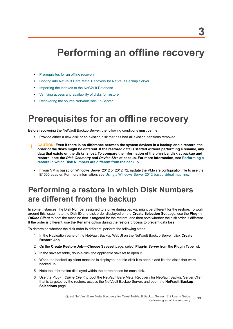# <span id="page-12-3"></span>**Performing an offline recovery**

- <span id="page-12-0"></span>**•** [Prerequisites for an offline recovery](#page-12-1)
- **•** [Booting into NetVault Bare Metal Recovery for NetVault Backup Server](#page-13-0)
- **•** [Importing the indexes to the NetVault Database](#page-13-1)
- **•** [Verifying access and availability of disks for restore](#page-14-0)
- **•** [Recovering the source NetVault Backup Server](#page-14-1)

### <span id="page-12-1"></span>**Prerequisites for an offline recovery**

Before recovering the NetVault Backup Server, the following conditions must be met:

- **•** Provide either a new disk or an existing disk that has had all existing partitions removed.
- **CAUTION: Even if there is no difference between the system devices in a backup and a restore, the order of the disks might be different. If the restored data is started without performing a rename, any data that exists on the disks is lost. To compare the information of the physical disk at backup and restore, note the** *Disk Geometry* **and** *Device Size* **at backup. For more information, see [Performing a](#page-12-2)  [restore in which Disk Numbers are different from the backup.](#page-12-2)**
	- **•** If your VM is based on Windows Server 2012 or 2012 R2, update the VMware configuration file to use the E1000 adapter. For more information, see [Using a Windows Server 2012-based virtual machine.](#page-6-5)

### <span id="page-12-2"></span>**Performing a restore in which Disk Numbers are different from the backup**

In some instances, the Disk Number assigned to a drive during backup might be different for the restore. To work around this issue, note the Disk ID and disk order displayed on the **Create Selection Set** page, use the **Plug-in**  *Offline Client* to boot the machine that is targeted for the restore, and then note whether the disk order is different. If the order is different, use the **Rename** option during the restore process to prevent data loss.

To determine whether the disk order is different, perform the following steps.

- 1 In the Navigation pane of the NetVault Backup WebUI on the NetVault Backup Server, click **Create Restore Job**.
- 2 On the **Create Restore Job Choose Saveset** page, select **Plug-in** *Server* from the **Plugin Type** list.
- 3 In the saveset table, double-click the applicable saveset to open it.
- 4 When the backed-up client machine is displayed, double-click it to open it and list the disks that were backed up.
- 5 Note the information displayed within the parentheses for each disk.
- 6 Use the Plug-in *Offline Client* to boot the NetVault Bare Metal Recovery for NetVault Backup Server Client that is targeted by the restore, access the NetVault Backup Server, and open the **NetVault Backup Selections** page.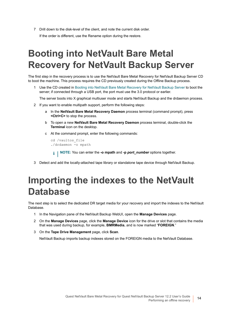7 Drill down to the disk-level of the client, and note the current disk order. If the order is different, use the Rename option during the restore.

# <span id="page-13-0"></span>**Booting into NetVault Bare Metal Recovery for NetVault Backup Server**

The first step in the recovery process is to use the NetVault Bare Metal Recovery for NetVault Backup Server CD to boot the machine. This process requires the CD previously created during the Offline Backup process.

Use the CD created in [Booting into NetVault Bare Metal Recovery for NetVault Backup Server](#page-6-6) to boot the server; if connected through a USB port, the port must use the 3.0 protocol or earlier.

The server boots into X graphical multiuser mode and starts NetVault Backup and the drdaemon process.

- 2 If you want to enable multipath support, perform the following steps:
	- a In the **NetVault Bare Metal Recovery Daemon** process terminal (command prompt), press **<Ctrl+C>** to stop the process.
	- b To open a new **NetVault Bare Metal Recovery Daemon** process terminal, double-click the **Terminal** icon on the desktop.
	- c At the command prompt, enter the following commands:

```
cd /vaultos_file
./drdaemon -o mpath
```
- **NOTE:** You can enter the **-o mpath** and **-p** *port\_number* options together.
- 3 Detect and add the locally-attached tape library or standalone tape device through NetVault Backup.

## <span id="page-13-1"></span>**Importing the indexes to the NetVault Database**

The next step is to select the dedicated DR target media for your recovery and import the indexes to the NetVault Database.

- 1 In the Navigation pane of the NetVault Backup WebUI, open the **Manage Devices** page.
- 2 On the **Manage Devices** page, click the **Manage Device** icon for the drive or slot that contains the media that was used during backup, for example, **BMRMedia**, and is now marked "**FOREIGN**."
- 3 On the **Tape Drive Management** page, click **Scan**.

NetVault Backup imports backup indexes stored on the FOREIGN media to the NetVault Database.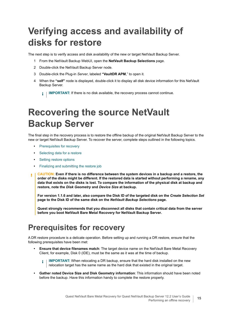# <span id="page-14-0"></span>**Verifying access and availability of disks for restore**

The next step is to verify access and disk availability of the new or target NetVault Backup Server.

- 1 From the NetVault Backup WebUI, open the **NetVault Backup Selections** page.
- 2 Double-click the NetVault Backup Server node.
- 3 Double-click the Plug-in *Server*, labeled **"VaultDR APM**," to open it.
- 4 When the **"self"** node is displayed, double-click it to display all disk device information for this NetVault Backup Server.

**IMPORTANT:** If there is no disk available, the recovery process cannot continue. i I

# <span id="page-14-1"></span>**Recovering the source NetVault Backup Server**

The final step in the recovery process is to restore the offline backup of the original NetVault Backup Server to the new or target NetVault Backup Server. To recover the server, complete steps outlined in the following topics.

- **•** [Prerequisites for recovery](#page-14-2)
- **•** [Selecting data for a restore](#page-15-0)
- **•** [Setting restore options](#page-15-1)
- **•** [Finalizing and submitting the restore job](#page-15-2)
- **CAUTION: Even if there is no difference between the system devices in a backup and a restore, the**  T. **order of the disks might be different. If the restored data is started without performing a rename, any data that exists on the disks is lost. To compare the information of the physical disk at backup and restore, note the** *Disk Geometry* **and** *Device Size* **at backup.**

**For version 1.1.6 and later, also compare the Disk ID of the targeted disk on the** *Create Selection Set*  **page to the Disk ID of the same disk on the** *NetVault Backup Selections* **page.**

**Quest strongly recommends that you disconnect all disks that contain critical data from the server before you boot NetVault Bare Metal Recovery for NetVault Backup Server.**

### <span id="page-14-2"></span>**Prerequisites for recovery**

A DR restore procedure is a delicate operation. Before setting up and running a DR restore, ensure that the following prerequisites have been met:

- **Ensure that device filenames match**: The target device name on the NetVault Bare Metal Recovery Client, for example, Disk 0 (IDE), must be the same as it was at the time of backup.
	- **IMPORTANT:** When relocating a DR backup, ensure that the hard disk installed on the new f. relocation target has the same name as the hard disk that existed in the original target.
- **Gather noted Device Size and Disk Geometry information**: This information should have been noted before the backup. Have this information handy to complete the restore properly.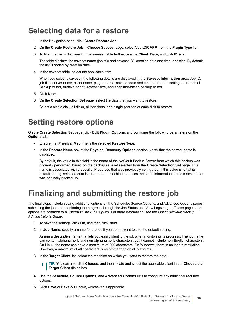### <span id="page-15-0"></span>**Selecting data for a restore**

- 1 In the Navigation pane, click **Create Restore Job**.
- 2 On the **Create Restore Job Choose Saveset** page, select **VaultDR APM** from the **Plugin Type** list.
- 3 To filter the items displayed in the saveset table further, use the **Client**, **Date**, and **Job ID** lists.

The table displays the saveset name (job title and saveset ID), creation date and time, and size. By default, the list is sorted by creation date.

4 In the saveset table, select the applicable item.

When you select a saveset, the following details are displayed in the **Saveset Information** area: Job ID, job title, server name, client name, plug-in name, saveset date and time, retirement setting, Incremental Backup or not, Archive or not, saveset size, and snapshot-based backup or not.

- 5 Click **Next**.
- 6 On the **Create Selection Set** page, select the data that you want to restore.

Select a single disk, all disks, all partitions, or a single partition of each disk to restore.

### <span id="page-15-1"></span>**Setting restore options**

On the **Create Selection Set** page, click **Edit Plugin Options**, and configure the following parameters on the **Options** tab:

- **•** Ensure that **Physical Machine** is the selected **Restore Type**.
- **•** In the **Restore Name** box of the **Physical Recovery Options** section, verify that the correct name is displayed.

By default, the value in this field is the name of the NetVault Backup Server from which this backup was originally performed, based on the backup saveset selected from the **Create Selection Set** page. This name is associated with a specific IP address that was previously configured. If this value is left at its default setting, selected data is restored to a machine that uses the same information as the machine that was originally backed up.

### <span id="page-15-2"></span>**Finalizing and submitting the restore job**

The final steps include setting additional options on the Schedule, Source Options, and Advanced Options pages, submitting the job, and monitoring the progress through the Job Status and View Logs pages. These pages and options are common to all NetVault Backup Plug-ins. For more information, see the *Quest NetVault Backup Administrator's Guide*.

- 1 To save the settings, click **Ok**, and then click **Next**.
- 2 In **Job Name**, specify a name for the job if you do not want to use the default setting.

Assign a descriptive name that lets you easily identify the job when monitoring its progress. The job name can contain alphanumeric and non-alphanumeric characters, but it cannot include non-English characters. On Linux, the name can have a maximum of 200 characters. On Windows, there is no length restriction. However, a maximum of 40 characters is recommended on all platforms.

- 3 In the **Target Client** list, select the machine on which you want to restore the data.
	- **TIP:** You can also click **Choose**, and then locate and select the applicable client in the **Choose the**  f. **Target Client** dialog box.
- 4 Use the **Schedule**, **Source Options**, and **Advanced Options** lists to configure any additional required options.
- 5 Click **Save** or **Save & Submit**, whichever is applicable.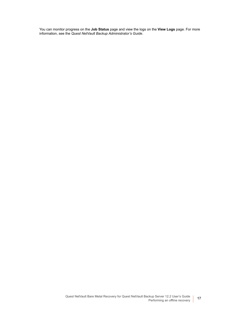You can monitor progress on the **Job Status** page and view the logs on the **View Logs** page. For more information, see the *Quest NetVault Backup Administrator's Guide*.